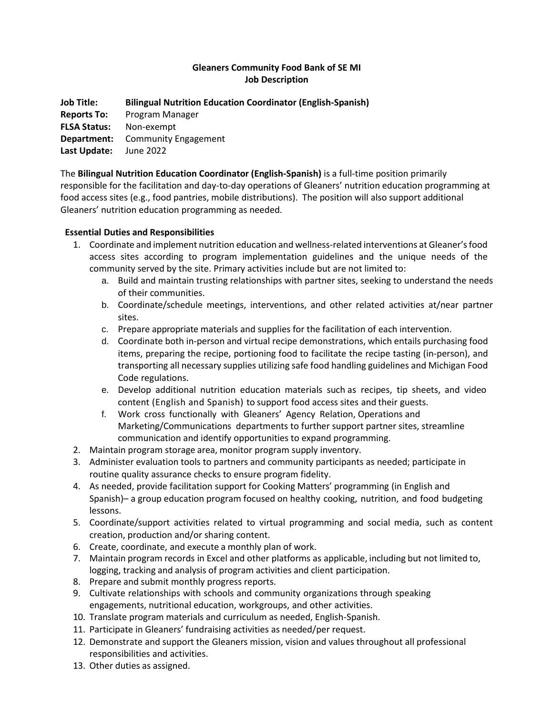# **Gleaners Community Food Bank of SE MI Job Description**

**Job Title: Bilingual Nutrition Education Coordinator (English-Spanish) Reports To:** Program Manager **FLSA Status:** Non-exempt **Department:** Community Engagement **Last Update:** June 2022

The **Bilingual Nutrition Education Coordinator (English-Spanish)** is a full-time position primarily responsible for the facilitation and day-to-day operations of Gleaners' nutrition education programming at food access sites (e.g., food pantries, mobile distributions). The position will also support additional Gleaners' nutrition education programming as needed.

# **Essential Duties and Responsibilities**

- 1. Coordinate and implement nutrition education and wellness-related interventions at Gleaner's food access sites according to program implementation guidelines and the unique needs of the community served by the site. Primary activities include but are not limited to:
	- a. Build and maintain trusting relationships with partner sites, seeking to understand the needs of their communities.
	- b. Coordinate/schedule meetings, interventions, and other related activities at/near partner sites.
	- c. Prepare appropriate materials and supplies for the facilitation of each intervention.
	- d. Coordinate both in-person and virtual recipe demonstrations, which entails purchasing food items, preparing the recipe, portioning food to facilitate the recipe tasting (in-person), and transporting all necessary supplies utilizing safe food handling guidelines and Michigan Food Code regulations.
	- e. Develop additional nutrition education materials such as recipes, tip sheets, and video content (English and Spanish) to support food access sites and their guests.
	- f. Work cross functionally with Gleaners' Agency Relation, Operations and Marketing/Communications departments to further support partner sites, streamline communication and identify opportunities to expand programming.
- 2. Maintain program storage area, monitor program supply inventory.
- 3. Administer evaluation tools to partners and community participants as needed; participate in routine quality assurance checks to ensure program fidelity.
- 4. As needed, provide facilitation support for Cooking Matters' programming (in English and Spanish)– a group education program focused on healthy cooking, nutrition, and food budgeting lessons.
- 5. Coordinate/support activities related to virtual programming and social media, such as content creation, production and/or sharing content.
- 6. Create, coordinate, and execute a monthly plan of work.
- 7. Maintain program records in Excel and other platforms as applicable, including but not limited to, logging, tracking and analysis of program activities and client participation.
- 8. Prepare and submit monthly progress reports.
- 9. Cultivate relationships with schools and community organizations through speaking engagements, nutritional education, workgroups, and other activities.
- 10. Translate program materials and curriculum as needed, English-Spanish.
- 11. Participate in Gleaners' fundraising activities as needed/per request.
- 12. Demonstrate and support the Gleaners mission, vision and values throughout all professional responsibilities and activities.
- 13. Other duties as assigned.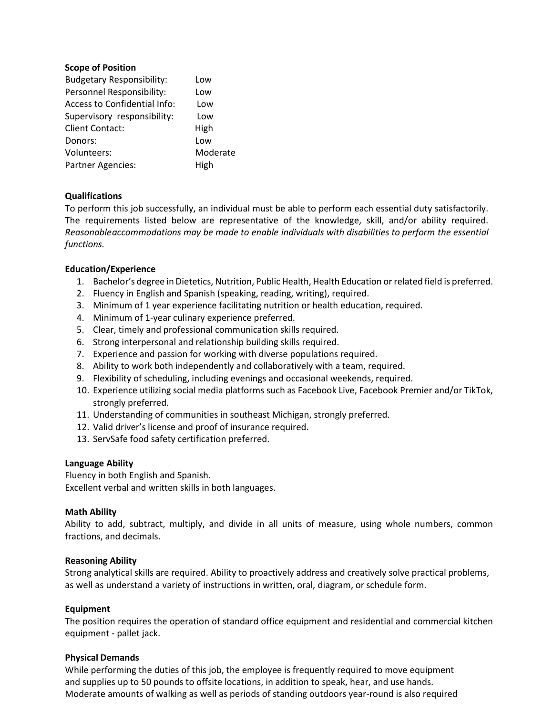### **Scope of Position**

| <b>Budgetary Responsibility:</b> | Low      |
|----------------------------------|----------|
| Personnel Responsibility:        | Low      |
| Access to Confidential Info:     | Low      |
| Supervisory responsibility:      | Low      |
| <b>Client Contact:</b>           | High     |
| Donors:                          | Low      |
| Volunteers:                      | Moderate |
| <b>Partner Agencies:</b>         | High     |

# **Qualifications**

To perform this job successfully, an individual must be able to perform each essential duty satisfactorily. The requirements listed below are representative of the knowledge, skill, and/or ability required. *Reasonableaccommodations may be made to enable individuals with disabilities to perform the essential functions.*

### **Education/Experience**

- 1. Bachelor's degree in Dietetics, Nutrition, Public Health, Health Education or related field is preferred.
- 2. Fluency in English and Spanish (speaking, reading, writing), required.
- 3. Minimum of 1 year experience facilitating nutrition or health education, required.
- 4. Minimum of 1-year culinary experience preferred.
- 5. Clear, timely and professional communication skills required.
- 6. Strong interpersonal and relationship building skills required.
- 7. Experience and passion for working with diverse populations required.
- 8. Ability to work both independently and collaboratively with a team, required.
- 9. Flexibility of scheduling, including evenings and occasional weekends, required.
- 10. Experience utilizing social media platforms such as Facebook Live, Facebook Premier and/or TikTok, strongly preferred.
- 11. Understanding of communities in southeast Michigan, strongly preferred.
- 12. Valid driver's license and proof of insurance required.
- 13. ServSafe food safety certification preferred.

#### **Language Ability**

 Fluency in both English and Spanish. Excellent verbal and written skills in both languages.

#### **Math Ability**

Ability to add, subtract, multiply, and divide in all units of measure, using whole numbers, common fractions, and decimals.

#### **Reasoning Ability**

Strong analytical skills are required. Ability to proactively address and creatively solve practical problems, as well as understand a variety of instructions in written, oral, diagram, orschedule form.

#### **Equipment**

The position requires the operation of standard office equipment and residential and commercial kitchen equipment - pallet jack.

#### **Physical Demands**

While performing the duties of this job, the employee is frequently required to move equipment and supplies up to 50 pounds to offsite locations, in addition to speak, hear, and use hands. Moderate amounts of walking as well as periods of standing outdoors year-round is also required